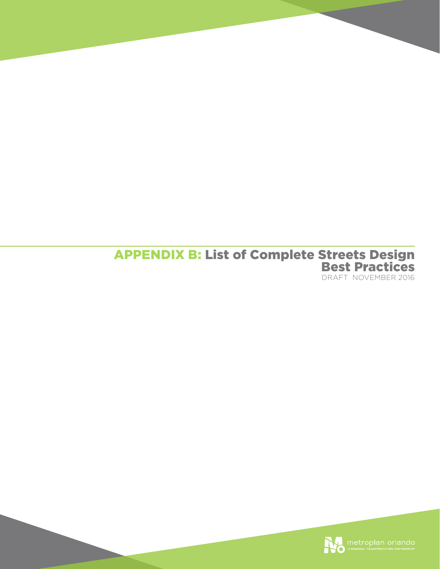## APPENDIX B: List of Complete Streets Design Best Practices DRAFT NOVEMBER 2016

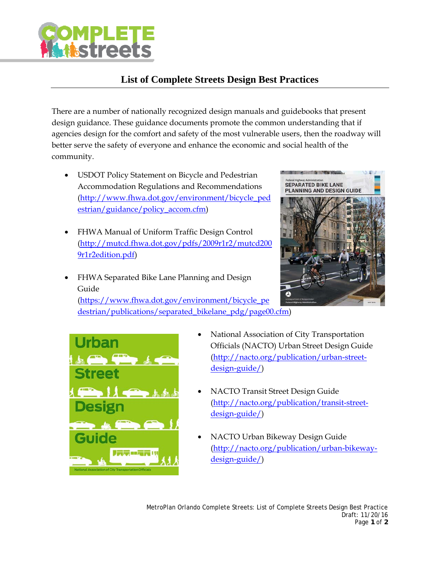

## **List of Complete Streets Design Best Practices**

There are a number of nationally recognized design manuals and guidebooks that present design guidance. These guidance documents promote the common understanding that if agencies design for the comfort and safety of the most vulnerable users, then the roadway will better serve the safety of everyone and enhance the economic and social health of the community.

- USDOT Policy Statement on Bicycle and Pedestrian Accommodation Regulations and Recommendations (http://www.fhwa.dot.gov/environment/bicycle\_ped estrian/guidance/policy\_accom.cfm)
- FHWA Manual of Uniform Traffic Design Control (http://mutcd.fhwa.dot.gov/pdfs/2009r1r2/mutcd200 9r1r2edition.pdf)
- FHWA Separated Bike Lane Planning and Design Guide

SEPARATED BIKE LANE<br>PLANNING AND DESIGN GUIDE

(https://www.fhwa.dot.gov/environment/bicycle\_pe destrian/publications/separated\_bikelane\_pdg/page00.cfm)



- National Association of City Transportation Officials (NACTO) Urban Street Design Guide (http://nacto.org/publication/urban-streetdesign-guide/)
- NACTO Transit Street Design Guide (http://nacto.org/publication/transit-streetdesign-guide/)
- NACTO Urban Bikeway Design Guide (http://nacto.org/publication/urban-bikewaydesign-guide/)